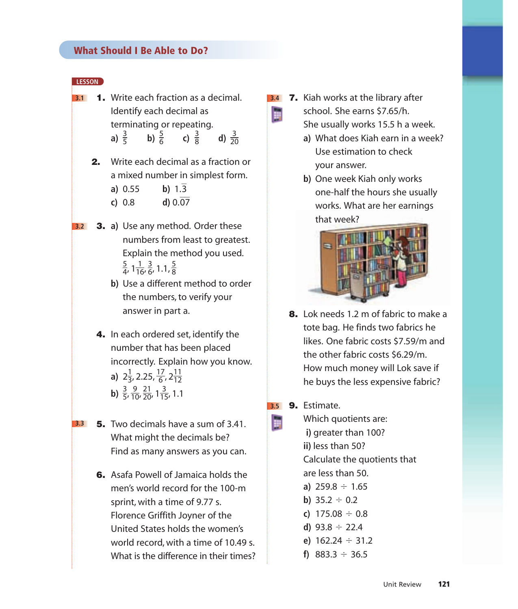## **LESSON**

**3.1** 1. Write each fraction as a decimal. Identify each decimal as terminating or repeating. **a**)  $\frac{3}{5}$  **b**)  $\frac{5}{6}$  **c**)  $\frac{3}{8}$  **d**)  $\frac{3}{20}$ 20 3 8 5 6 3 5

2. Write each decimal as a fraction or a mixed number in simplest form.

**a)**  $0.55$  **b)**  $1.\overline{3}$ 

**c)** 0.8 **d**)  $0.\overline{07}$ 

- **3.2** 3. **a)** Use any method. Order these numbers from least to greatest. Explain the method you used. ,  $1\frac{1}{16}$ ,  $\frac{3}{6}$ , 1.1,  $\frac{5}{8}$ 8 3 6 1 16 5 4
	- **b)** Use a different method to order the numbers, to verify your answer in part a.
	- 4. In each ordered set, identify the number that has been placed incorrectly. Explain how you know. **a**)  $2\frac{1}{3}$ , 2.25,  $\frac{17}{6}$ ,  $2\frac{11}{12}$ **b**)  $\frac{3}{5}$ ,  $\frac{9}{10}$ ,  $\frac{21}{20}$ ,  $1\frac{3}{15}$ , 1.1 21 9 3 12 17 6 1 3
		- 15 20 10 5
- **3.3** 5. Two decimals have a sum of 3.41. What might the decimals be? Find as many answers as you can.
	- 6. Asafa Powell of Jamaica holds the men's world record for the 100-m sprint, with a time of 9.77 s. Florence Griffith Joyner of the United States holds the women's world record, with a time of 10.49 s. What is the difference in their times?

7. Kiah works at the library after **3.4**

H

school. She earns \$7.65/h.

- She usually works 15.5 h a week.
- **a)** What does Kiah earn in a week? Use estimation to check your answer.
- **b)** One week Kiah only works one-half the hours she usually works. What are her earnings that week?



- 8. Lok needs 1.2 m of fabric to make a tote bag. He finds two fabrics he likes. One fabric costs \$7.59/m and the other fabric costs \$6.29/m. How much money will Lok save if he buys the less expensive fabric?
- **3.5 9.** Estimate.

H

- Which quotients are: **i)** greater than 100? **ii)** less than 50? Calculate the quotients that are less than 50. **a)**  $259.8 \div 1.65$ **b**)  $35.2 \div 0.2$ **c)**  $175.08 \div 0.8$ 
	- **d)** 93.8  $\div$  22.4
	- **e)**  $162.24 \div 31.2$
	- **f)** 883.3  $\div$  36.5